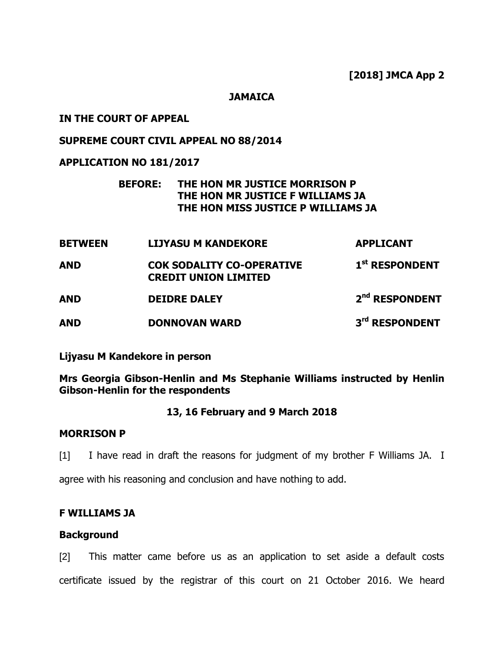**JAMAICA**

# **IN THE COURT OF APPEAL**

# **SUPREME COURT CIVIL APPEAL NO 88/2014**

# **APPLICATION NO 181/2017**

# **BEFORE: THE HON MR JUSTICE MORRISON P THE HON MR JUSTICE F WILLIAMS JA THE HON MISS JUSTICE P WILLIAMS JA**

| <b>BETWEEN</b> | <b>LIJYASU M KANDEKORE</b>                                      | <b>APPLICANT</b>           |
|----------------|-----------------------------------------------------------------|----------------------------|
| <b>AND</b>     | <b>COK SODALITY CO-OPERATIVE</b><br><b>CREDIT UNION LIMITED</b> | 1 <sup>st</sup> RESPONDENT |
| <b>AND</b>     | <b>DEIDRE DALEY</b>                                             | 2 <sup>nd</sup> RESPONDENT |
| <b>AND</b>     | <b>DONNOVAN WARD</b>                                            | 3rd RESPONDENT             |

**Lijyasu M Kandekore in person** 

**Mrs Georgia Gibson-Henlin and Ms Stephanie Williams instructed by Henlin Gibson-Henlin for the respondents**

# **13, 16 February and 9 March 2018**

# **MORRISON P**

[1] I have read in draft the reasons for judgment of my brother F Williams JA. I

agree with his reasoning and conclusion and have nothing to add.

### **F WILLIAMS JA**

### **Background**

[2] This matter came before us as an application to set aside a default costs certificate issued by the registrar of this court on 21 October 2016. We heard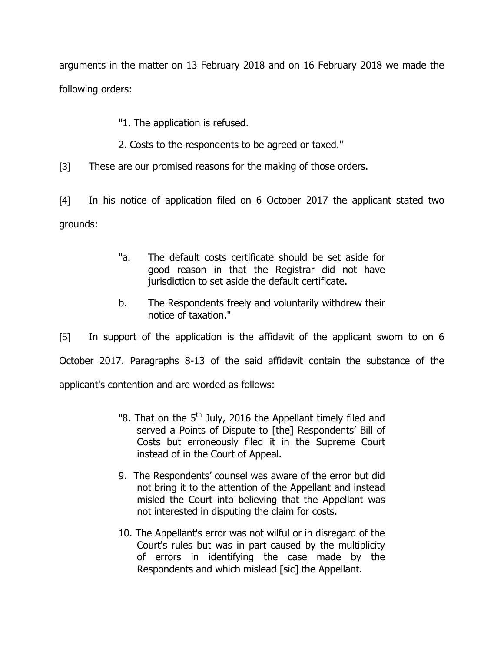arguments in the matter on 13 February 2018 and on 16 February 2018 we made the following orders:

"1. The application is refused.

- 2. Costs to the respondents to be agreed or taxed."
- [3] These are our promised reasons for the making of those orders.

[4] In his notice of application filed on 6 October 2017 the applicant stated two grounds:

- "a. The default costs certificate should be set aside for good reason in that the Registrar did not have jurisdiction to set aside the default certificate.
- b. The Respondents freely and voluntarily withdrew their notice of taxation."

[5] In support of the application is the affidavit of the applicant sworn to on 6 October 2017. Paragraphs 8-13 of the said affidavit contain the substance of the applicant's contention and are worded as follows:

- "8. That on the  $5<sup>th</sup>$  July, 2016 the Appellant timely filed and served a Points of Dispute to [the] Respondents' Bill of Costs but erroneously filed it in the Supreme Court instead of in the Court of Appeal.
- 9. The Respondents' counsel was aware of the error but did not bring it to the attention of the Appellant and instead misled the Court into believing that the Appellant was not interested in disputing the claim for costs.
- 10. The Appellant's error was not wilful or in disregard of the Court's rules but was in part caused by the multiplicity of errors in identifying the case made by the Respondents and which mislead [sic] the Appellant.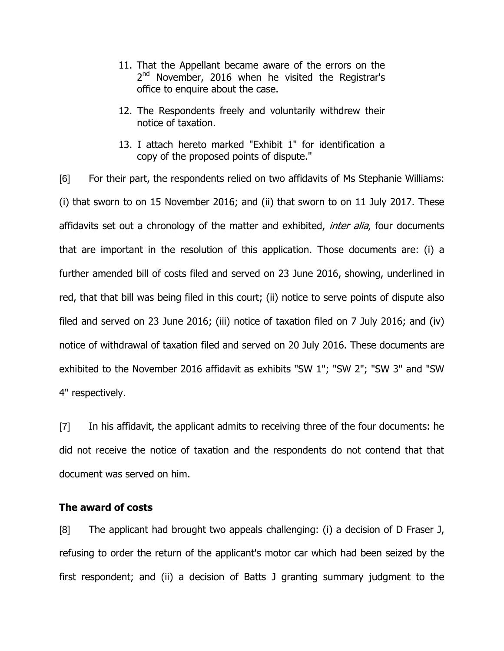- 11. That the Appellant became aware of the errors on the 2<sup>nd</sup> November, 2016 when he visited the Registrar's office to enquire about the case.
- 12. The Respondents freely and voluntarily withdrew their notice of taxation.
- 13. I attach hereto marked "Exhibit 1" for identification a copy of the proposed points of dispute."

[6] For their part, the respondents relied on two affidavits of Ms Stephanie Williams: (i) that sworn to on 15 November 2016; and (ii) that sworn to on 11 July 2017. These affidavits set out a chronology of the matter and exhibited, *inter alia*, four documents that are important in the resolution of this application. Those documents are: (i) a further amended bill of costs filed and served on 23 June 2016, showing, underlined in red, that that bill was being filed in this court; (ii) notice to serve points of dispute also filed and served on 23 June 2016; (iii) notice of taxation filed on 7 July 2016; and (iv) notice of withdrawal of taxation filed and served on 20 July 2016. These documents are exhibited to the November 2016 affidavit as exhibits "SW 1"; "SW 2"; "SW 3" and "SW 4" respectively.

[7] In his affidavit, the applicant admits to receiving three of the four documents: he did not receive the notice of taxation and the respondents do not contend that that document was served on him.

### **The award of costs**

[8] The applicant had brought two appeals challenging: (i) a decision of D Fraser J, refusing to order the return of the applicant's motor car which had been seized by the first respondent; and (ii) a decision of Batts J granting summary judgment to the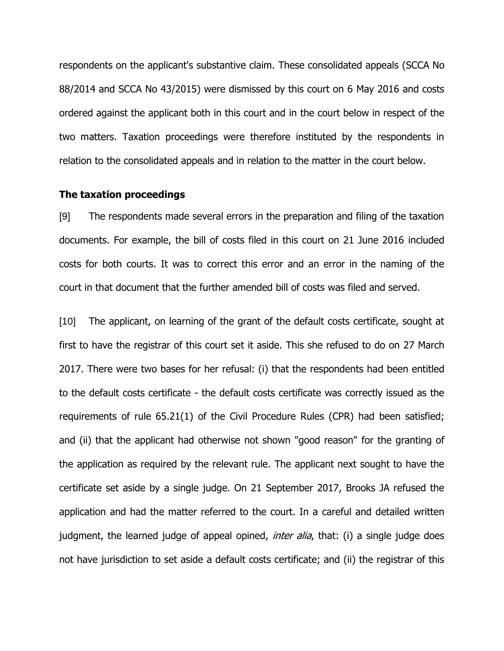respondents on the applicant's substantive claim. These consolidated appeals (SCCA No 88/2014 and SCCA No 43/2015) were dismissed by this court on 6 May 2016 and costs ordered against the applicant both in this court and in the court below in respect of the two matters. Taxation proceedings were therefore instituted by the respondents in relation to the consolidated appeals and in relation to the matter in the court below.

#### **The taxation proceedings**

[9] The respondents made several errors in the preparation and filing of the taxation documents. For example, the bill of costs filed in this court on 21 June 2016 included costs for both courts. It was to correct this error and an error in the naming of the court in that document that the further amended bill of costs was filed and served.

[10] The applicant, on learning of the grant of the default costs certificate, sought at first to have the registrar of this court set it aside. This she refused to do on 27 March 2017. There were two bases for her refusal: (i) that the respondents had been entitled to the default costs certificate - the default costs certificate was correctly issued as the requirements of rule 65.21(1) of the Civil Procedure Rules (CPR) had been satisfied; and (ii) that the applicant had otherwise not shown "good reason" for the granting of the application as required by the relevant rule. The applicant next sought to have the certificate set aside by a single judge. On 21 September 2017, Brooks JA refused the application and had the matter referred to the court. In a careful and detailed written judgment, the learned judge of appeal opined, *inter alia*, that: (i) a single judge does not have jurisdiction to set aside a default costs certificate; and (ii) the registrar of this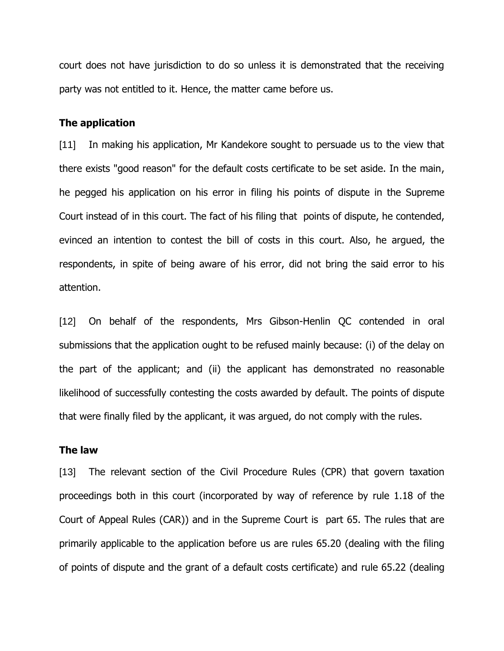court does not have jurisdiction to do so unless it is demonstrated that the receiving party was not entitled to it. Hence, the matter came before us.

#### **The application**

[11] In making his application, Mr Kandekore sought to persuade us to the view that there exists "good reason" for the default costs certificate to be set aside. In the main, he pegged his application on his error in filing his points of dispute in the Supreme Court instead of in this court. The fact of his filing that points of dispute, he contended, evinced an intention to contest the bill of costs in this court. Also, he argued, the respondents, in spite of being aware of his error, did not bring the said error to his attention.

[12] On behalf of the respondents, Mrs Gibson-Henlin QC contended in oral submissions that the application ought to be refused mainly because: (i) of the delay on the part of the applicant; and (ii) the applicant has demonstrated no reasonable likelihood of successfully contesting the costs awarded by default. The points of dispute that were finally filed by the applicant, it was argued, do not comply with the rules.

#### **The law**

[13] The relevant section of the Civil Procedure Rules (CPR) that govern taxation proceedings both in this court (incorporated by way of reference by rule 1.18 of the Court of Appeal Rules (CAR)) and in the Supreme Court is part 65. The rules that are primarily applicable to the application before us are rules 65.20 (dealing with the filing of points of dispute and the grant of a default costs certificate) and rule 65.22 (dealing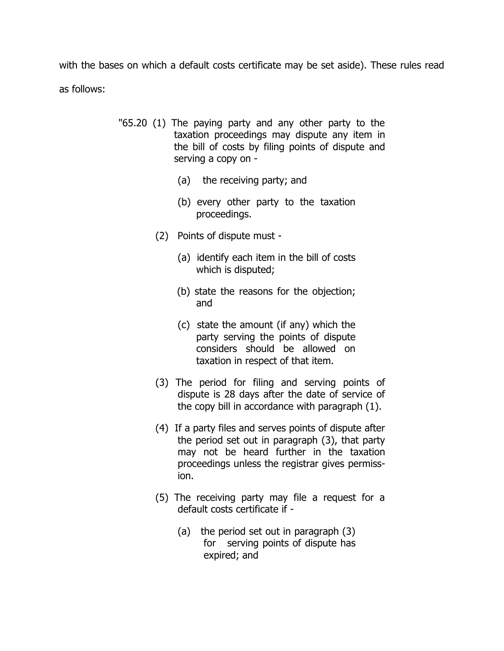with the bases on which a default costs certificate may be set aside). These rules read as follows:

- "65.20 (1) The paying party and any other party to the taxation proceedings may dispute any item in the bill of costs by filing points of dispute and serving a copy on -
	- (a) the receiving party; and
	- (b) every other party to the taxation proceedings.
	- (2) Points of dispute must
		- (a) identify each item in the bill of costs which is disputed;
		- (b) state the reasons for the objection; and
		- (c) state the amount (if any) which the party serving the points of dispute considers should be allowed on taxation in respect of that item.
	- (3) The period for filing and serving points of dispute is 28 days after the date of service of the copy bill in accordance with paragraph (1).
	- (4) If a party files and serves points of dispute after the period set out in paragraph (3), that party may not be heard further in the taxation proceedings unless the registrar gives permission.
	- (5) The receiving party may file a request for a default costs certificate if -
		- (a) the period set out in paragraph (3) for serving points of dispute has expired; and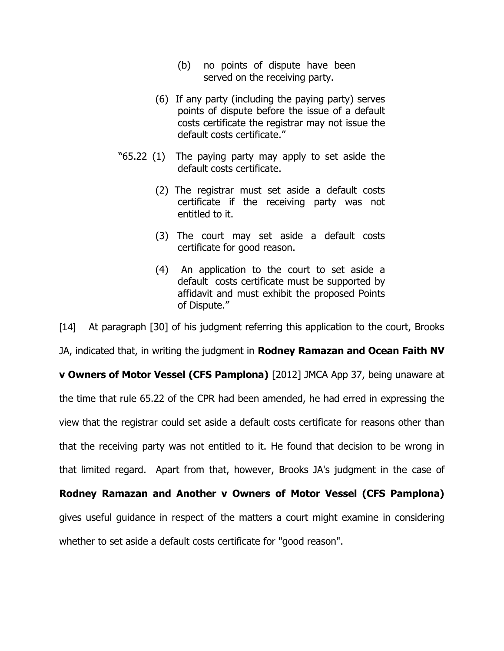- (b) no points of dispute have been served on the receiving party.
- (6) If any party (including the paying party) serves points of dispute before the issue of a default costs certificate the registrar may not issue the default costs certificate."
- "65.22 (1) The paying party may apply to set aside the default costs certificate.
	- (2) The registrar must set aside a default costs certificate if the receiving party was not entitled to it.
	- (3) The court may set aside a default costs certificate for good reason.
	- (4) An application to the court to set aside a default costs certificate must be supported by affidavit and must exhibit the proposed Points of Dispute."

[14] At paragraph [30] of his judgment referring this application to the court, Brooks

JA, indicated that, in writing the judgment in **Rodney Ramazan and Ocean Faith NV**

**v Owners of Motor Vessel (CFS Pamplona)** [2012] JMCA App 37, being unaware at the time that rule 65.22 of the CPR had been amended, he had erred in expressing the view that the registrar could set aside a default costs certificate for reasons other than that the receiving party was not entitled to it. He found that decision to be wrong in that limited regard. Apart from that, however, Brooks JA's judgment in the case of **Rodney Ramazan and Another v Owners of Motor Vessel (CFS Pamplona)**

gives useful guidance in respect of the matters a court might examine in considering

whether to set aside a default costs certificate for "good reason".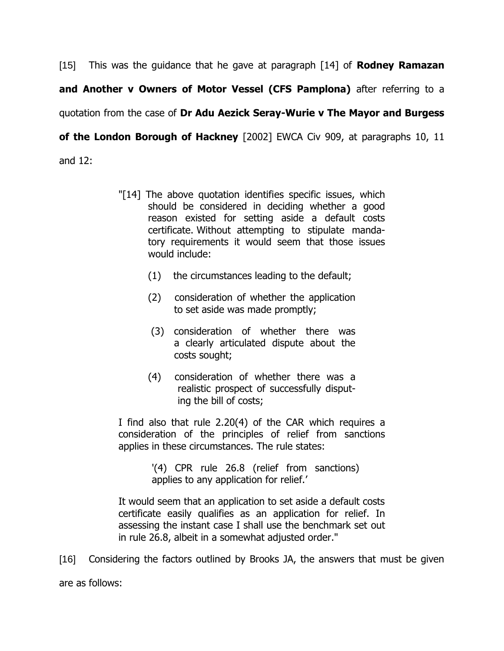[15] This was the guidance that he gave at paragraph [14] of **Rodney Ramazan and Another v Owners of Motor Vessel (CFS Pamplona)** after referring to a quotation from the case of **Dr Adu Aezick Seray-Wurie v The Mayor and Burgess of the London Borough of Hackney** [2002] EWCA Civ 909, at paragraphs 10, 11 and 12:

- "[14] The above quotation identifies specific issues, which should be considered in deciding whether a good reason existed for setting aside a default costs certificate. Without attempting to stipulate mandatory requirements it would seem that those issues would include:
	- (1) the circumstances leading to the default;
	- (2) consideration of whether the application to set aside was made promptly;
	- (3) consideration of whether there was a clearly articulated dispute about the costs sought;
	- (4) consideration of whether there was a realistic prospect of successfully disputing the bill of costs;

I find also that rule 2.20(4) of the CAR which requires a consideration of the principles of relief from sanctions applies in these circumstances. The rule states:

> '(4) CPR rule 26.8 (relief from sanctions) applies to any application for relief.'

It would seem that an application to set aside a default costs certificate easily qualifies as an application for relief. In assessing the instant case I shall use the benchmark set out in rule 26.8, albeit in a somewhat adjusted order."

[16] Considering the factors outlined by Brooks JA, the answers that must be given are as follows: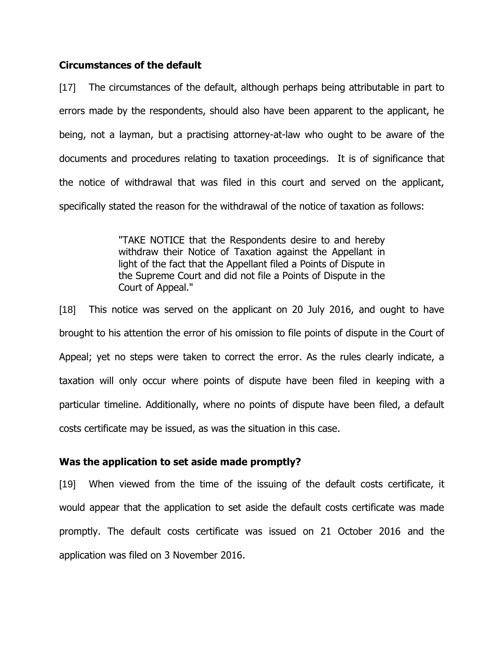#### **Circumstances of the default**

[17] The circumstances of the default, although perhaps being attributable in part to errors made by the respondents, should also have been apparent to the applicant, he being, not a layman, but a practising attorney-at-law who ought to be aware of the documents and procedures relating to taxation proceedings. It is of significance that the notice of withdrawal that was filed in this court and served on the applicant, specifically stated the reason for the withdrawal of the notice of taxation as follows:

> "TAKE NOTICE that the Respondents desire to and hereby withdraw their Notice of Taxation against the Appellant in light of the fact that the Appellant filed a Points of Dispute in the Supreme Court and did not file a Points of Dispute in the Court of Appeal."

[18] This notice was served on the applicant on 20 July 2016, and ought to have brought to his attention the error of his omission to file points of dispute in the Court of Appeal; yet no steps were taken to correct the error. As the rules clearly indicate, a taxation will only occur where points of dispute have been filed in keeping with a particular timeline. Additionally, where no points of dispute have been filed, a default costs certificate may be issued, as was the situation in this case.

#### **Was the application to set aside made promptly?**

[19] When viewed from the time of the issuing of the default costs certificate, it would appear that the application to set aside the default costs certificate was made promptly. The default costs certificate was issued on 21 October 2016 and the application was filed on 3 November 2016.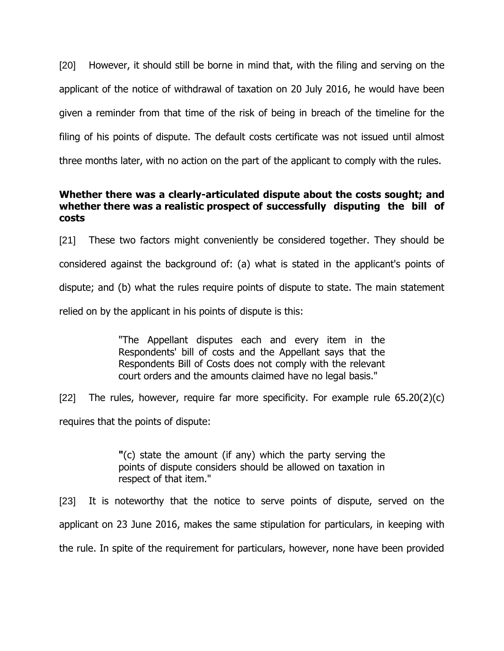[20] However, it should still be borne in mind that, with the filing and serving on the applicant of the notice of withdrawal of taxation on 20 July 2016, he would have been given a reminder from that time of the risk of being in breach of the timeline for the filing of his points of dispute. The default costs certificate was not issued until almost three months later, with no action on the part of the applicant to comply with the rules.

# **Whether there was a clearly-articulated dispute about the costs sought; and whether there was a realistic prospect of successfully disputing the bill of costs**

[21] These two factors might conveniently be considered together. They should be considered against the background of: (a) what is stated in the applicant's points of dispute; and (b) what the rules require points of dispute to state. The main statement relied on by the applicant in his points of dispute is this:

> "The Appellant disputes each and every item in the Respondents' bill of costs and the Appellant says that the Respondents Bill of Costs does not comply with the relevant court orders and the amounts claimed have no legal basis."

[22] The rules, however, require far more specificity. For example rule  $65.20(2)(c)$ requires that the points of dispute:

> **"**(c) state the amount (if any) which the party serving the points of dispute considers should be allowed on taxation in respect of that item."

[23] It is noteworthy that the notice to serve points of dispute, served on the applicant on 23 June 2016, makes the same stipulation for particulars, in keeping with the rule. In spite of the requirement for particulars, however, none have been provided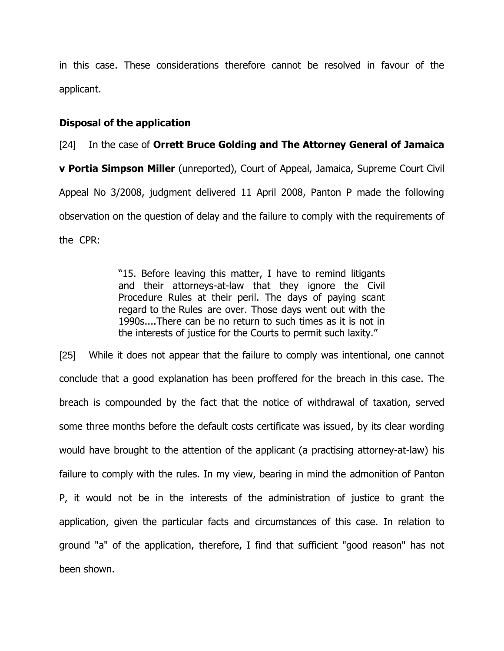in this case. These considerations therefore cannot be resolved in favour of the applicant.

### **Disposal of the application**

# [24] In the case of **Orrett Bruce Golding and The Attorney General of Jamaica**

**v Portia Simpson Miller** (unreported), Court of Appeal, Jamaica, Supreme Court Civil Appeal No 3/2008, judgment delivered 11 April 2008, Panton P made the following observation on the question of delay and the failure to comply with the requirements of the CPR:

> "15. Before leaving this matter, I have to remind litigants and their attorneys-at-law that they ignore the Civil Procedure Rules at their peril. The days of paying scant regard to the Rules are over. Those days went out with the 1990s....There can be no return to such times as it is not in the interests of justice for the Courts to permit such laxity."

[25] While it does not appear that the failure to comply was intentional, one cannot conclude that a good explanation has been proffered for the breach in this case. The breach is compounded by the fact that the notice of withdrawal of taxation, served some three months before the default costs certificate was issued, by its clear wording would have brought to the attention of the applicant (a practising attorney-at-law) his failure to comply with the rules. In my view, bearing in mind the admonition of Panton P, it would not be in the interests of the administration of justice to grant the application, given the particular facts and circumstances of this case. In relation to ground "a" of the application, therefore, I find that sufficient "good reason" has not been shown.